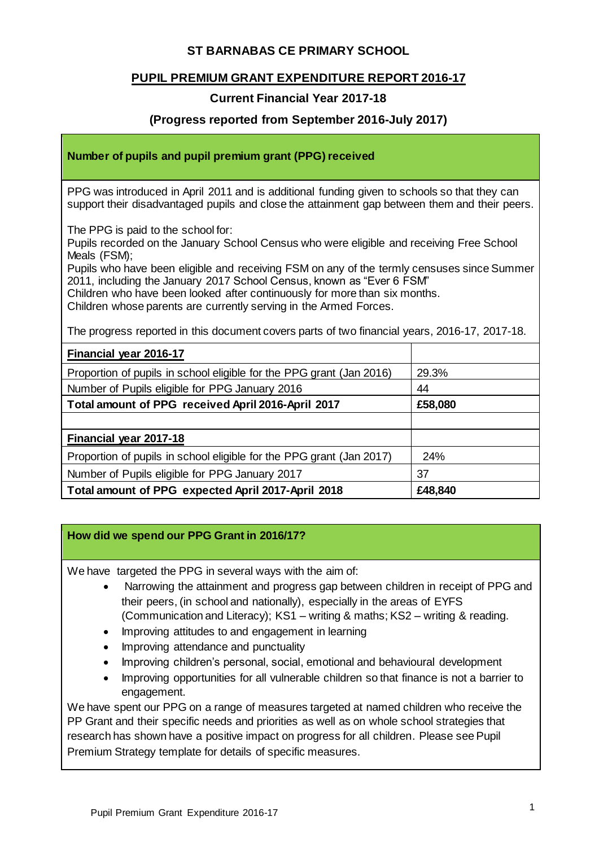## **ST BARNABAS CE PRIMARY SCHOOL**

## **PUPIL PREMIUM GRANT EXPENDITURE REPORT 2016-17**

## **Current Financial Year 2017-18**

#### **(Progress reported from September 2016-July 2017)**

#### **Number of pupils and pupil premium grant (PPG) received**

PPG was introduced in April 2011 and is additional funding given to schools so that they can support their disadvantaged pupils and close the attainment gap between them and their peers.

The PPG is paid to the school for:

Pupils recorded on the January School Census who were eligible and receiving Free School Meals (FSM);

Pupils who have been eligible and receiving FSM on any of the termly censuses since Summer 2011, including the January 2017 School Census, known as "Ever 6 FSM"

Children who have been looked after continuously for more than six months.

Children whose parents are currently serving in the Armed Forces.

The progress reported in this document covers parts of two financial years, 2016-17, 2017-18.

| Financial year 2016-17                                               |         |
|----------------------------------------------------------------------|---------|
| Proportion of pupils in school eligible for the PPG grant (Jan 2016) | 29.3%   |
| Number of Pupils eligible for PPG January 2016                       | 44      |
| Total amount of PPG received April 2016-April 2017                   | £58,080 |
|                                                                      |         |
| Financial year 2017-18                                               |         |
| Proportion of pupils in school eligible for the PPG grant (Jan 2017) | 24%     |
| Number of Pupils eligible for PPG January 2017                       | 37      |
| Total amount of PPG expected April 2017-April 2018                   | £48,840 |

#### **How did we spend our PPG Grant in 2016/17?**

We have targeted the PPG in several ways with the aim of:

- Narrowing the attainment and progress gap between children in receipt of PPG and their peers, (in school and nationally), especially in the areas of EYFS (Communication and Literacy); KS1 – writing & maths; KS2 – writing & reading.
- Improving attitudes to and engagement in learning
- Improving attendance and punctuality
- Improving children's personal, social, emotional and behavioural development
- Improving opportunities for all vulnerable children so that finance is not a barrier to engagement.

We have spent our PPG on a range of measures targeted at named children who receive the PP Grant and their specific needs and priorities as well as on whole school strategies that research has shown have a positive impact on progress for all children. Please see Pupil Premium Strategy template for details of specific measures.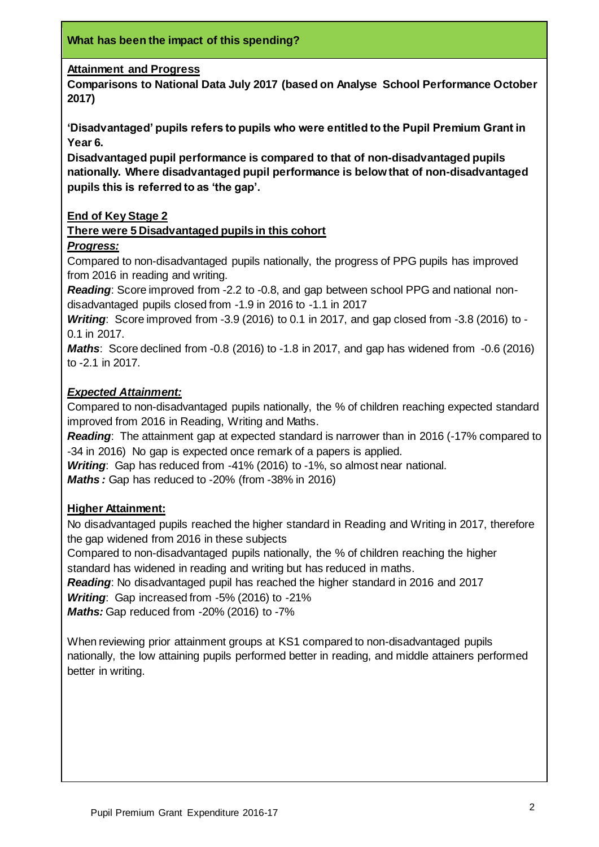#### **Attainment and Progress**

**Comparisons to National Data July 2017 (based on Analyse School Performance October 2017)**

**'Disadvantaged' pupils refers to pupils who were entitled to the Pupil Premium Grant in Year 6.**

**Disadvantaged pupil performance is compared to that of non-disadvantaged pupils nationally. Where disadvantaged pupil performance is below that of non-disadvantaged pupils this is referred to as 'the gap'.**

#### **End of Key Stage 2**

#### **There were 5 Disadvantaged pupils in this cohort**

#### *Progress:*

Compared to non-disadvantaged pupils nationally, the progress of PPG pupils has improved from 2016 in reading and writing.

*Reading*: Score improved from -2.2 to -0.8, and gap between school PPG and national nondisadvantaged pupils closed from -1.9 in 2016 to -1.1 in 2017

*Writing*: Score improved from -3.9 (2016) to 0.1 in 2017, and gap closed from -3.8 (2016) to - 0.1 in 2017.

*Maths*: Score declined from -0.8 (2016) to -1.8 in 2017, and gap has widened from -0.6 (2016) to -2.1 in 2017.

#### *Expected Attainment:*

Compared to non-disadvantaged pupils nationally, the % of children reaching expected standard improved from 2016 in Reading, Writing and Maths.

*Reading*: The attainment gap at expected standard is narrower than in 2016 (-17% compared to -34 in 2016) No gap is expected once remark of a papers is applied.

*Writing*: Gap has reduced from -41% (2016) to -1%, so almost near national.

*Maths :* Gap has reduced to -20% (from -38% in 2016)

#### **Higher Attainment:**

No disadvantaged pupils reached the higher standard in Reading and Writing in 2017, therefore the gap widened from 2016 in these subjects

Compared to non-disadvantaged pupils nationally, the % of children reaching the higher standard has widened in reading and writing but has reduced in maths.

*Reading*: No disadvantaged pupil has reached the higher standard in 2016 and 2017

*Writing*: Gap increased from -5% (2016) to -21%

*Maths:* Gap reduced from -20% (2016) to -7%

When reviewing prior attainment groups at KS1 compared to non-disadvantaged pupils nationally, the low attaining pupils performed better in reading, and middle attainers performed better in writing.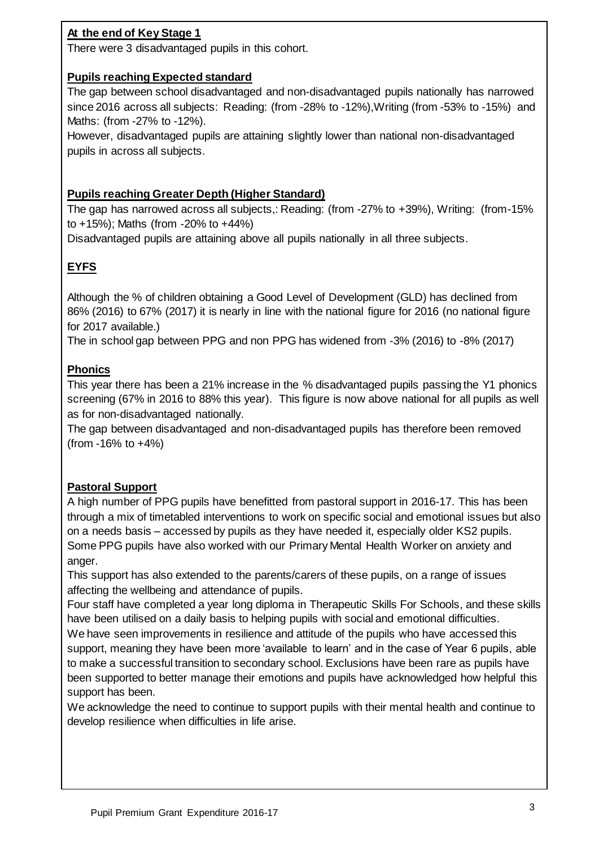# **At the end of Key Stage 1**

There were 3 disadvantaged pupils in this cohort.

## **Pupils reaching Expected standard**

The gap between school disadvantaged and non-disadvantaged pupils nationally has narrowed since 2016 across all subjects: Reading: (from -28% to -12%),Writing (from -53% to -15%) and Maths: (from -27% to -12%).

However, disadvantaged pupils are attaining slightly lower than national non-disadvantaged pupils in across all subjects.

## **Pupils reaching Greater Depth (Higher Standard)**

The gap has narrowed across all subjects,: Reading: (from -27% to +39%), Writing: (from-15% to +15%); Maths (from -20% to +44%)

Disadvantaged pupils are attaining above all pupils nationally in all three subjects.

# **EYFS**

Although the % of children obtaining a Good Level of Development (GLD) has declined from 86% (2016) to 67% (2017) it is nearly in line with the national figure for 2016 (no national figure for 2017 available.)

The in school gap between PPG and non PPG has widened from -3% (2016) to -8% (2017)

## **Phonics**

This year there has been a 21% increase in the % disadvantaged pupils passing the Y1 phonics screening (67% in 2016 to 88% this year). This figure is now above national for all pupils as well as for non-disadvantaged nationally.

The gap between disadvantaged and non-disadvantaged pupils has therefore been removed (from  $-16\%$  to  $+4\%$ )

## **Pastoral Support**

A high number of PPG pupils have benefitted from pastoral support in 2016-17. This has been through a mix of timetabled interventions to work on specific social and emotional issues but also on a needs basis – accessed by pupils as they have needed it, especially older KS2 pupils. Some PPG pupils have also worked with our Primary Mental Health Worker on anxiety and anger.

This support has also extended to the parents/carers of these pupils, on a range of issues affecting the wellbeing and attendance of pupils.

Four staff have completed a year long diploma in Therapeutic Skills For Schools, and these skills have been utilised on a daily basis to helping pupils with social and emotional difficulties.

We have seen improvements in resilience and attitude of the pupils who have accessed this support, meaning they have been more 'available to learn' and in the case of Year 6 pupils, able to make a successful transition to secondary school. Exclusions have been rare as pupils have been supported to better manage their emotions and pupils have acknowledged how helpful this support has been.

We acknowledge the need to continue to support pupils with their mental health and continue to develop resilience when difficulties in life arise.